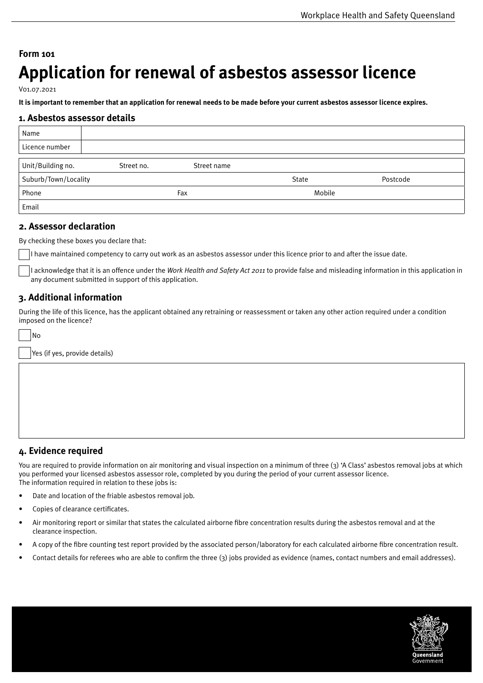# **Form 101 Application for renewal of asbestos assessor licence**

V01.07.2021

**It is important to remember that an application for renewal needs to be made before your current asbestos assessor licence expires.**

#### **1. Asbestos assessor details**

| Name                 |            |             |        |          |
|----------------------|------------|-------------|--------|----------|
| Licence number       |            |             |        |          |
| Unit/Building no.    | Street no. | Street name |        |          |
| Suburb/Town/Locality |            |             | State  | Postcode |
| Phone                | Fax        |             | Mobile |          |
| Email                |            |             |        |          |

### **2. Assessor declaration**

By checking these boxes you declare that:

I have maintained competency to carry out work as an asbestos assessor under this licence prior to and after the issue date.

I acknowledge that it is an offence under the *Work Health and Safety Act 2011* to provide false and misleading information in this application in any document submitted in support of this application.

# **3. Additional information**

During the life of this licence, has the applicant obtained any retraining or reassessment or taken any other action required under a condition imposed on the licence?

| l No                          |
|-------------------------------|
| Yes (if yes, provide details) |
|                               |

# **4. Evidence required**

You are required to provide information on air monitoring and visual inspection on a minimum of three (3) 'A Class' asbestos removal jobs at which you performed your licensed asbestos assessor role, completed by you during the period of your current assessor licence. The information required in relation to these jobs is:

- Date and location of the friable asbestos removal job.
- Copies of clearance certificates.
- Air monitoring report or similar that states the calculated airborne fibre concentration results during the asbestos removal and at the clearance inspection.
- A copy of the fibre counting test report provided by the associated person/laboratory for each calculated airborne fibre concentration result.
- Contact details for referees who are able to confirm the three (3) jobs provided as evidence (names, contact numbers and email addresses).